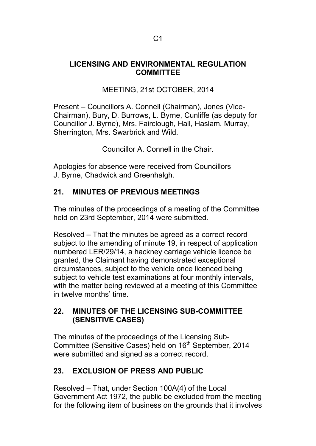#### **LICENSING AND ENVIRONMENTAL REGULATION COMMITTEE**

## MEETING, 21st OCTOBER, 2014

Present – Councillors A. Connell (Chairman), Jones (Vice-Chairman), Bury, D. Burrows, L. Byrne, Cunliffe (as deputy for Councillor J. Byrne), Mrs. Fairclough, Hall, Haslam, Murray, Sherrington, Mrs. Swarbrick and Wild.

Councillor A. Connell in the Chair.

Apologies for absence were received from Councillors J. Byrne, Chadwick and Greenhalgh.

## **21. MINUTES OF PREVIOUS MEETINGS**

The minutes of the proceedings of a meeting of the Committee held on 23rd September, 2014 were submitted.

Resolved – That the minutes be agreed as a correct record subject to the amending of minute 19, in respect of application numbered LER/29/14, a hackney carriage vehicle licence be granted, the Claimant having demonstrated exceptional circumstances, subject to the vehicle once licenced being subject to vehicle test examinations at four monthly intervals, with the matter being reviewed at a meeting of this Committee in twelve months' time.

### **22. MINUTES OF THE LICENSING SUB-COMMITTEE (SENSITIVE CASES)**

The minutes of the proceedings of the Licensing Sub-Committee (Sensitive Cases) held on 16<sup>th</sup> September, 2014 were submitted and signed as a correct record.

# **23. EXCLUSION OF PRESS AND PUBLIC**

Resolved – That, under Section 100A(4) of the Local Government Act 1972, the public be excluded from the meeting for the following item of business on the grounds that it involves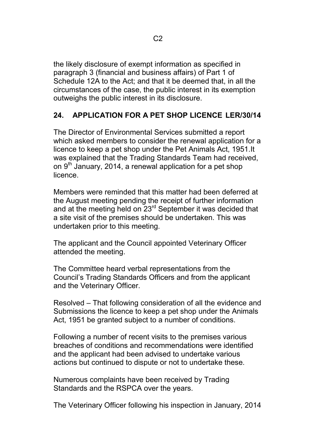the likely disclosure of exempt information as specified in paragraph 3 (financial and business affairs) of Part 1 of Schedule 12A to the Act; and that it be deemed that, in all the circumstances of the case, the public interest in its exemption outweighs the public interest in its disclosure.

## **24. APPLICATION FOR A PET SHOP LICENCE LER/30/14**

The Director of Environmental Services submitted a report which asked members to consider the renewal application for a licence to keep a pet shop under the Pet Animals Act, 1951.It was explained that the Trading Standards Team had received, on 9<sup>th</sup> January, 2014, a renewal application for a pet shop licence.

Members were reminded that this matter had been deferred at the August meeting pending the receipt of further information and at the meeting held on 23<sup>rd</sup> September it was decided that a site visit of the premises should be undertaken. This was undertaken prior to this meeting.

The applicant and the Council appointed Veterinary Officer attended the meeting.

The Committee heard verbal representations from the Council's Trading Standards Officers and from the applicant and the Veterinary Officer.

Resolved – That following consideration of all the evidence and Submissions the licence to keep a pet shop under the Animals Act, 1951 be granted subject to a number of conditions.

Following a number of recent visits to the premises various breaches of conditions and recommendations were identified and the applicant had been advised to undertake various actions but continued to dispute or not to undertake these.

Numerous complaints have been received by Trading Standards and the RSPCA over the years.

The Veterinary Officer following his inspection in January, 2014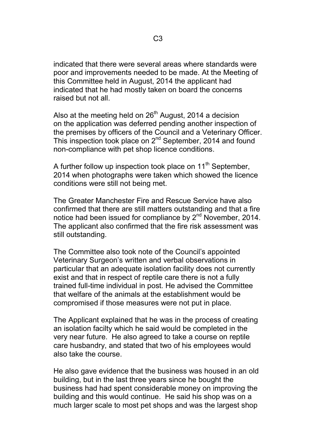indicated that there were several areas where standards were poor and improvements needed to be made. At the Meeting of this Committee held in August, 2014 the applicant had indicated that he had mostly taken on board the concerns raised but not all.

Also at the meeting held on  $26<sup>th</sup>$  August, 2014 a decision on the application was deferred pending another inspection of the premises by officers of the Council and a Veterinary Officer. This inspection took place on 2<sup>nd</sup> September, 2014 and found non-compliance with pet shop licence conditions.

A further follow up inspection took place on  $11<sup>th</sup>$  September, 2014 when photographs were taken which showed the licence conditions were still not being met.

The Greater Manchester Fire and Rescue Service have also confirmed that there are still matters outstanding and that a fire notice had been issued for compliance by 2<sup>nd</sup> November, 2014. The applicant also confirmed that the fire risk assessment was still outstanding.

The Committee also took note of the Council's appointed Veterinary Surgeon's written and verbal observations in particular that an adequate isolation facility does not currently exist and that in respect of reptile care there is not a fully trained full-time individual in post. He advised the Committee that welfare of the animals at the establishment would be compromised if those measures were not put in place.

The Applicant explained that he was in the process of creating an isolation facilty which he said would be completed in the very near future. He also agreed to take a course on reptile care husbandry, and stated that two of his employees would also take the course.

He also gave evidence that the business was housed in an old building, but in the last three years since he bought the business had had spent considerable money on improving the building and this would continue. He said his shop was on a much larger scale to most pet shops and was the largest shop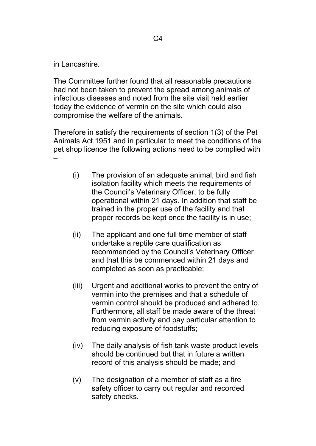in Lancashire.

The Committee further found that all reasonable precautions had not been taken to prevent the spread among animals of infectious diseases and noted from the site visit held earlier today the evidence of vermin on the site which could also compromise the welfare of the animals.

Therefore in satisfy the requirements of section 1(3) of the Pet Animals Act 1951 and in particular to meet the conditions of the pet shop licence the following actions need to be complied with –

- (i) The provision of an adequate animal, bird and fish isolation facility which meets the requirements of the Council's Veterinary Officer, to be fully operational within 21 days. In addition that staff be trained in the proper use of the facility and that proper records be kept once the facility is in use;
- (ii) The applicant and one full time member of staff undertake a reptile care qualification as recommended by the Council's Veterinary Officer and that this be commenced within 21 days and completed as soon as practicable;
- (iii) Urgent and additional works to prevent the entry of vermin into the premises and that a schedule of vermin control should be produced and adhered to. Furthermore, all staff be made aware of the threat from vermin activity and pay particular attention to reducing exposure of foodstuffs;
- (iv) The daily analysis of fish tank waste product levels should be continued but that in future a written record of this analysis should be made; and
- (v) The designation of a member of staff as a fire safety officer to carry out regular and recorded safety checks.